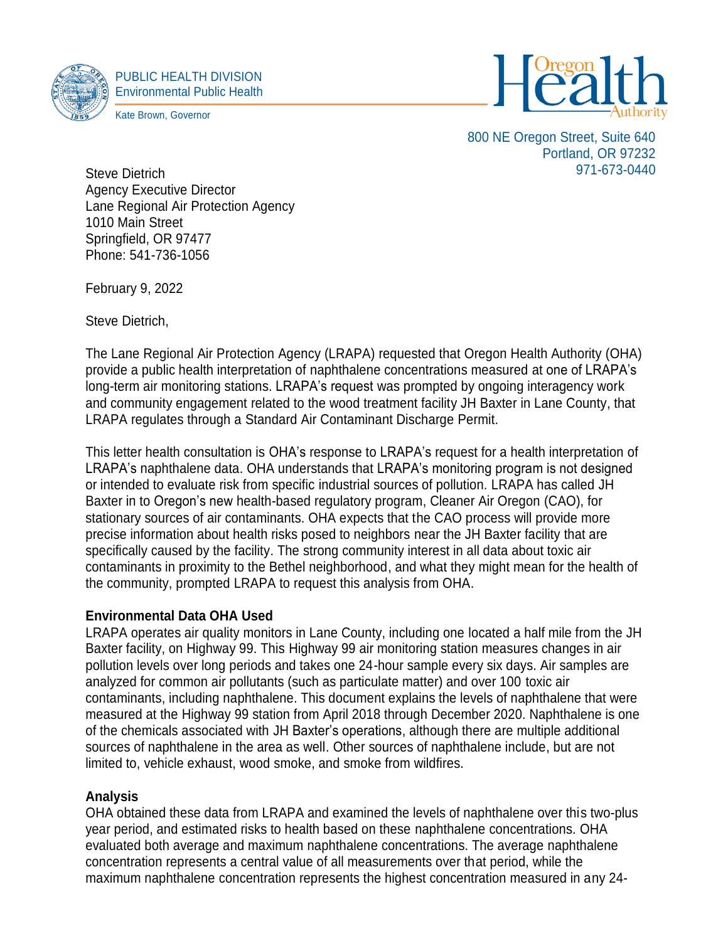



800 NE Oregon Street, Suite 640 Portland, OR 97232 971-673-0440

Steve Dietrich Agency Executive Director Lane Regional Air Protection Agency 1010 Main Street Springfield, OR 97477 Phone: 541-736-1056

February 9, 2022

Steve Dietrich,

The Lane Regional Air Protection Agency (LRAPA) requested that Oregon Health Authority (OHA) provide a public health interpretation of naphthalene concentrations measured at one of LRAPA's long-term air monitoring stations. LRAPA's request was prompted by ongoing interagency work and community engagement related to the wood treatment facility JH Baxter in Lane County, that LRAPA regulates through a Standard Air Contaminant Discharge Permit.

This letter health consultation is OHA's response to LRAPA's request for a health interpretation of LRAPA's naphthalene data. OHA understands that LRAPA's monitoring program is not designed or intended to evaluate risk from specific industrial sources of pollution. LRAPA has called JH Baxter in to Oregon's new health-based regulatory program, Cleaner Air Oregon (CAO), for stationary sources of air contaminants. OHA expects that the CAO process will provide more precise information about health risks posed to neighbors near the JH Baxter facility that are specifically caused by the facility. The strong community interest in all data about toxic air contaminants in proximity to the Bethel neighborhood, and what they might mean for the health of the community, prompted LRAPA to request this analysis from OHA.

## **Environmental Data OHA Used**

LRAPA operates air quality monitors in Lane County, including one located a half mile from the JH Baxter facility, on Highway 99. This Highway 99 air monitoring station measures changes in air pollution levels over long periods and takes one 24-hour sample every six days. Air samples are analyzed for common air pollutants (such as particulate matter) and over 100 toxic air contaminants, including naphthalene. This document explains the levels of naphthalene that were measured at the Highway 99 station from April 2018 through December 2020. Naphthalene is one of the chemicals associated with JH Baxter's operations, although there are multiple additional sources of naphthalene in the area as well. Other sources of naphthalene include, but are not limited to, vehicle exhaust, wood smoke, and smoke from wildfires.

## **Analysis**

OHA obtained these data from LRAPA and examined the levels of naphthalene over this two-plus year period, and estimated risks to health based on these naphthalene concentrations. OHA evaluated both average and maximum naphthalene concentrations. The average naphthalene concentration represents a central value of all measurements over that period, while the maximum naphthalene concentration represents the highest concentration measured in any 24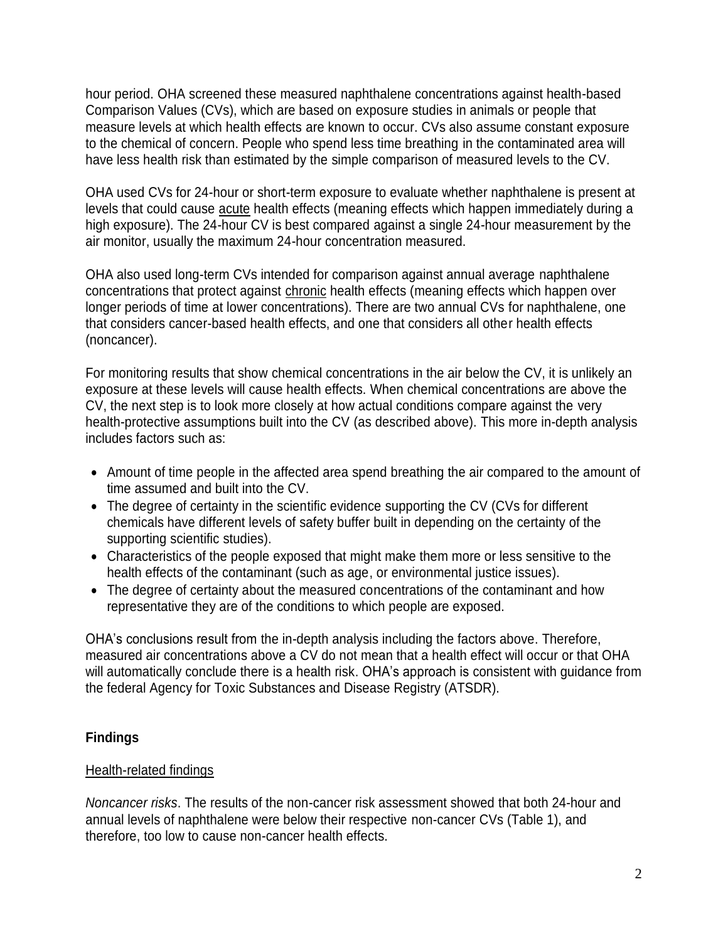hour period. OHA screened these measured naphthalene concentrations against health-based Comparison Values (CVs), which are based on exposure studies in animals or people that measure levels at which health effects are known to occur. CVs also assume constant exposure to the chemical of concern. People who spend less time breathing in the contaminated area will have less health risk than estimated by the simple comparison of measured levels to the CV.

OHA used CVs for 24-hour or short-term exposure to evaluate whether naphthalene is present at levels that could cause acute health effects (meaning effects which happen immediately during a high exposure). The 24-hour CV is best compared against a single 24-hour measurement by the air monitor, usually the maximum 24-hour concentration measured.

OHA also used long-term CVs intended for comparison against annual average naphthalene concentrations that protect against chronic health effects (meaning effects which happen over longer periods of time at lower concentrations). There are two annual CVs for naphthalene, one that considers cancer-based health effects, and one that considers all other health effects (noncancer).

For monitoring results that show chemical concentrations in the air below the CV, it is unlikely an exposure at these levels will cause health effects. When chemical concentrations are above the CV, the next step is to look more closely at how actual conditions compare against the very health-protective assumptions built into the CV (as described above). This more in-depth analysis includes factors such as:

- Amount of time people in the affected area spend breathing the air compared to the amount of time assumed and built into the CV.
- The degree of certainty in the scientific evidence supporting the CV (CVs for different chemicals have different levels of safety buffer built in depending on the certainty of the supporting scientific studies).
- Characteristics of the people exposed that might make them more or less sensitive to the health effects of the contaminant (such as age, or environmental justice issues).
- The degree of certainty about the measured concentrations of the contaminant and how representative they are of the conditions to which people are exposed.

OHA's conclusions result from the in-depth analysis including the factors above. Therefore, measured air concentrations above a CV do not mean that a health effect will occur or that OHA will automatically conclude there is a health risk. OHA's approach is consistent with guidance from the federal Agency for Toxic Substances and Disease Registry (ATSDR).

# **Findings**

## Health-related findings

*Noncancer risks*. The results of the non-cancer risk assessment showed that both 24-hour and annual levels of naphthalene were below their respective non-cancer CVs (Table 1), and therefore, too low to cause non-cancer health effects.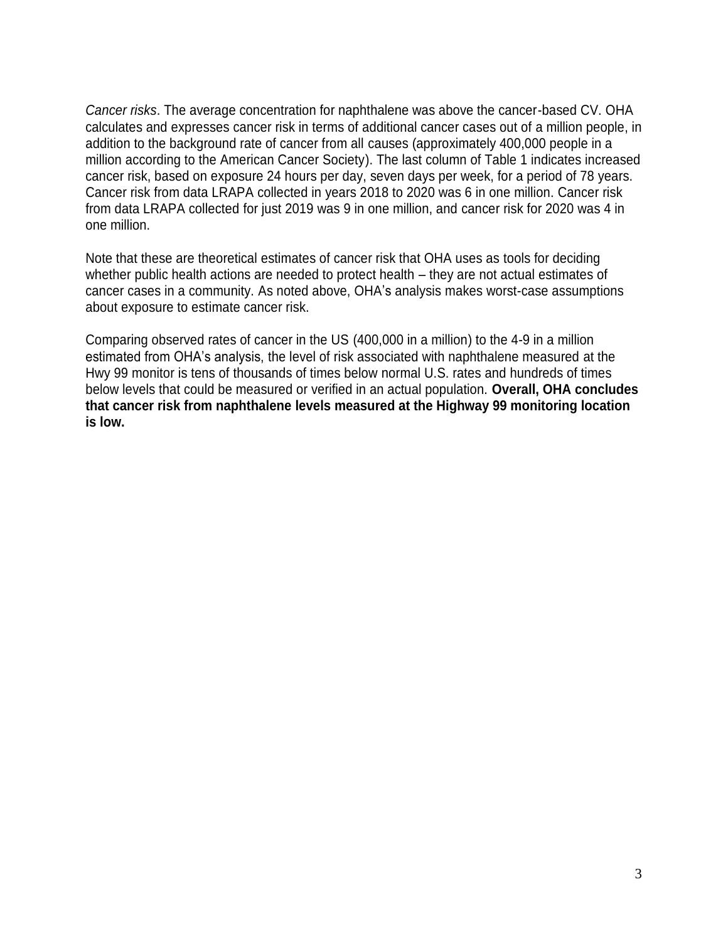*Cancer risks*. The average concentration for naphthalene was above the cancer-based CV. OHA calculates and expresses cancer risk in terms of additional cancer cases out of a million people, in addition to the background rate of cancer from all causes (approximately 400,000 people in a million according to the American Cancer Society). The last column of Table 1 indicates increased cancer risk, based on exposure 24 hours per day, seven days per week, for a period of 78 years. Cancer risk from data LRAPA collected in years 2018 to 2020 was 6 in one million. Cancer risk from data LRAPA collected for just 2019 was 9 in one million, and cancer risk for 2020 was 4 in one million.

Note that these are theoretical estimates of cancer risk that OHA uses as tools for deciding whether public health actions are needed to protect health – they are not actual estimates of cancer cases in a community. As noted above, OHA's analysis makes worst-case assumptions about exposure to estimate cancer risk.

Comparing observed rates of cancer in the US (400,000 in a million) to the 4-9 in a million estimated from OHA's analysis, the level of risk associated with naphthalene measured at the Hwy 99 monitor is tens of thousands of times below normal U.S. rates and hundreds of times below levels that could be measured or verified in an actual population. **Overall, OHA concludes that cancer risk from naphthalene levels measured at the Highway 99 monitoring location is low.**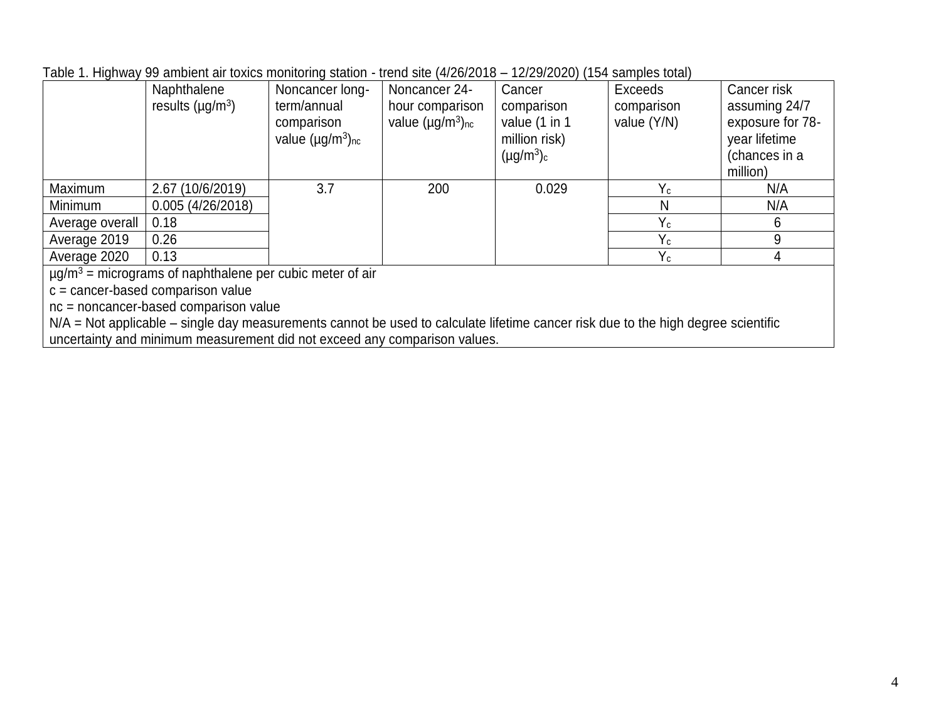| Table 1. Highway 99 ambient air toxics monitoring station - trend site (4/26/2018 – 12/29/2020) (154 samples total) |  |  |  |  |  |
|---------------------------------------------------------------------------------------------------------------------|--|--|--|--|--|
|---------------------------------------------------------------------------------------------------------------------|--|--|--|--|--|

|                                                                        | 00 annoithe an componitionnel beautiful<br>Naphthalene<br>results $(\mu g/m^3)$ | Noncancer long-<br>term/annual<br>comparison<br>value $(\mu g/m^3)_{nc}$ | Noncancer 24-<br>hour comparison<br>value $(\mu g/m^3)_{nc}$ | $\frac{1}{1}$ = $\frac{1}{2}$ = $\frac{1}{2}$ = $\frac{1}{2}$ , $\frac{1}{2}$ $\frac{1}{2}$ . $\frac{1}{2}$ . $\frac{1}{2}$ . $\frac{1}{2}$ . $\frac{1}{2}$<br>Cancer<br>comparison<br>value (1 in 1<br>million risk)<br>$(\mu g/m^3)_c$ | Exceeds<br>comparison<br>value (Y/N) | Cancer risk<br>assuming 24/7<br>exposure for 78-<br>year lifetime<br>(chances in a<br>million) |  |  |  |
|------------------------------------------------------------------------|---------------------------------------------------------------------------------|--------------------------------------------------------------------------|--------------------------------------------------------------|------------------------------------------------------------------------------------------------------------------------------------------------------------------------------------------------------------------------------------------|--------------------------------------|------------------------------------------------------------------------------------------------|--|--|--|
| Maximum                                                                | 2.67 (10/6/2019)                                                                | 3.7                                                                      | 200                                                          | 0.029                                                                                                                                                                                                                                    | $Y_c$                                | N/A                                                                                            |  |  |  |
| Minimum                                                                | 0.005(4/26/2018)                                                                |                                                                          |                                                              |                                                                                                                                                                                                                                          | N                                    | N/A                                                                                            |  |  |  |
| Average overall                                                        | 0.18                                                                            |                                                                          |                                                              |                                                                                                                                                                                                                                          | $Y_c$                                |                                                                                                |  |  |  |
| Average 2019                                                           | 0.26                                                                            |                                                                          |                                                              |                                                                                                                                                                                                                                          | $Y_c$                                |                                                                                                |  |  |  |
| Average 2020                                                           | 0.13                                                                            |                                                                          |                                                              |                                                                                                                                                                                                                                          | $Y_c$                                |                                                                                                |  |  |  |
| $\mu$ $\alpha/m^3$ – micrograms of pappithalene per cubic meter of air |                                                                                 |                                                                          |                                                              |                                                                                                                                                                                                                                          |                                      |                                                                                                |  |  |  |

 $\mu$ g/m<sup>3</sup> = micrograms of naphthalene per cubic meter of air

c = cancer-based comparison value

nc = noncancer-based comparison value

N/A = Not applicable – single day measurements cannot be used to calculate lifetime cancer risk due to the high degree scientific uncertainty and minimum measurement did not exceed any comparison values.